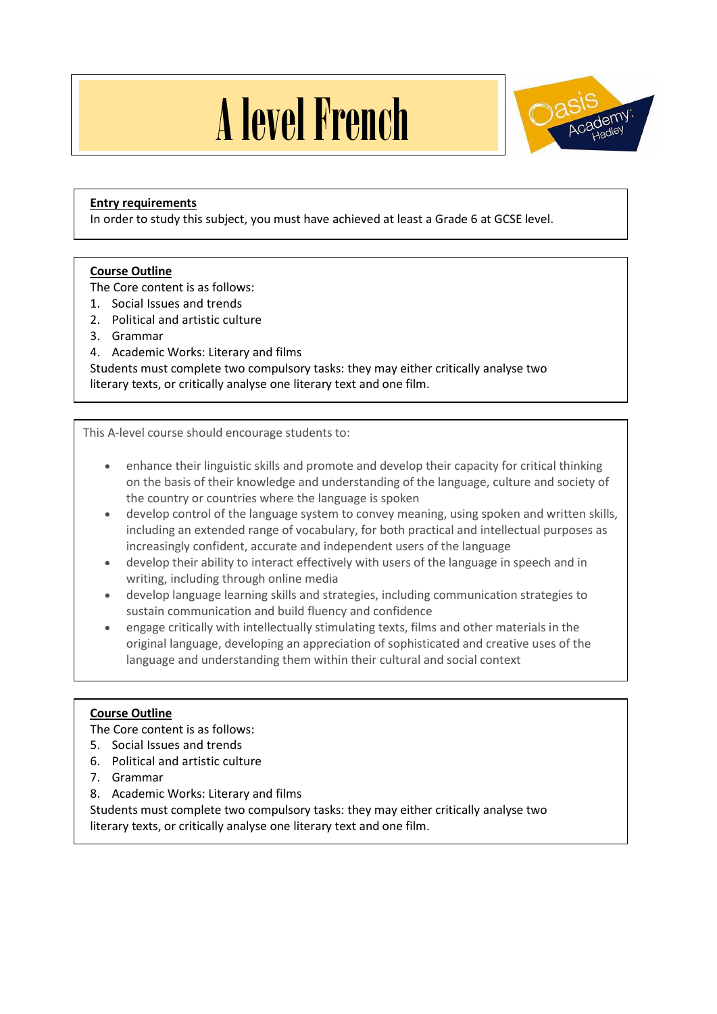# A level French



# **Entry requirements**

In order to study this subject, you must have achieved at least a Grade 6 at GCSE level.

## **Course Outline**

The Core content is as follows:

- 1. Social Issues and trends
- 2. Political and artistic culture
- 3. Grammar
- 4. Academic Works: Literary and films

Students must complete two compulsory tasks: they may either critically analyse two literary texts, or critically analyse one literary text and one film.

This A-level course should encourage students to:

- enhance their linguistic skills and promote and develop their capacity for critical thinking on the basis of their knowledge and understanding of the language, culture and society of the country or countries where the language is spoken
- develop control of the language system to convey meaning, using spoken and written skills, including an extended range of vocabulary, for both practical and intellectual purposes as increasingly confident, accurate and independent users of the language
- develop their ability to interact effectively with users of the language in speech and in writing, including through online media
- develop language learning skills and strategies, including communication strategies to sustain communication and build fluency and confidence
- engage critically with intellectually stimulating texts, films and other materials in the original language, developing an appreciation of sophisticated and creative uses of the language and understanding them within their cultural and social context

## **Course Outline**

The Core content is as follows:

- 5. Social Issues and trends
- 6. Political and artistic culture
- 7. Grammar
- 8. Academic Works: Literary and films

Students must complete two compulsory tasks: they may either critically analyse two literary texts, or critically analyse one literary text and one film.